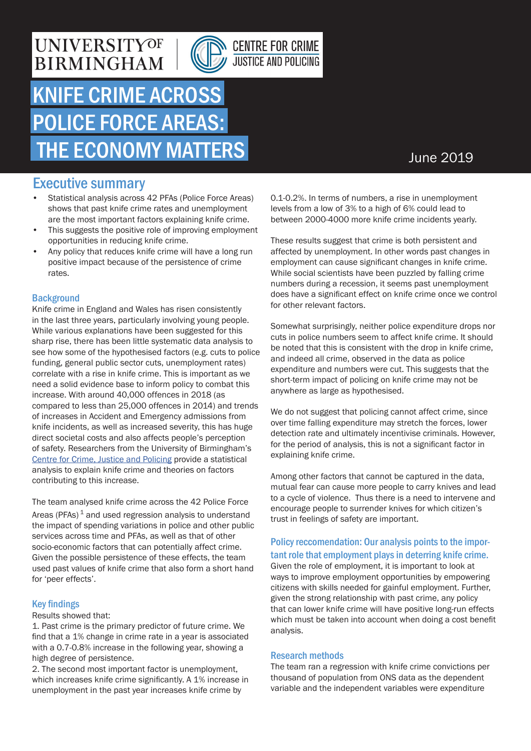### **UNIVERSITYOF BIRMINGHAM**





# KNIFE CRIME ACROSS POLICE FORCE AREAS: THE ECONOMY MATTERS

### June 2019

### Executive summary

- Statistical analysis across 42 PFAs (Police Force Areas) shows that past knife crime rates and unemployment are the most important factors explaining knife crime.
- This suggests the positive role of improving employment opportunities in reducing knife crime.
- Any policy that reduces knife crime will have a long run positive impact because of the persistence of crime rates.

#### **Background**

Knife crime in England and Wales has risen consistently in the last three years, particularly involving young people. While various explanations have been suggested for this sharp rise, there has been little systematic data analysis to see how some of the hypothesised factors (e.g. cuts to police funding, general public sector cuts, unemployment rates) correlate with a rise in knife crime. This is important as we need a solid evidence base to inform policy to combat this increase. With around 40,000 offences in 2018 (as compared to less than 25,000 offences in 2014) and trends of increases in Accident and Emergency admissions from knife incidents, as well as increased severity, this has huge direct societal costs and also affects people's perception of safety. Researchers from the University of Birmingham's [Centre for Crime, Justice and Policing](https://www.birmingham.ac.uk/research/activity/crime-justice-policing/index.aspx) provide a statistical analysis to explain knife crime and theories on factors contributing to this increase.

The team analysed knife crime across the 42 Police Force Areas (PFAs) $1$  and used regression analysis to understand the impact of spending variations in police and other public services across time and PFAs, as well as that of other socio-economic factors that can potentially affect crime. Given the possible persistence of these effects, the team used past values of knife crime that also form a short hand for 'peer effects'.

#### Key findings

Results showed that:

1. Past crime is the primary predictor of future crime. We find that a 1% change in crime rate in a year is associated with a 0.7-0.8% increase in the following year, showing a high degree of persistence.

2. The second most important factor is unemployment, which increases knife crime significantly. A 1% increase in unemployment in the past year increases knife crime by

0.1-0.2%. In terms of numbers, a rise in unemployment levels from a low of 3% to a high of 6% could lead to between 2000-4000 more knife crime incidents yearly.

These results suggest that crime is both persistent and affected by unemployment. In other words past changes in employment can cause significant changes in knife crime. While social scientists have been puzzled by falling crime numbers during a recession, it seems past unemployment does have a significant effect on knife crime once we control for other relevant factors.

Somewhat surprisingly, neither police expenditure drops nor cuts in police numbers seem to affect knife crime. It should be noted that this is consistent with the drop in knife crime, and indeed all crime, observed in the data as police expenditure and numbers were cut. This suggests that the short-term impact of policing on knife crime may not be anywhere as large as hypothesised.

We do not suggest that policing cannot affect crime, since over time falling expenditure may stretch the forces, lower detection rate and ultimately incentivise criminals. However, for the period of analysis, this is not a significant factor in explaining knife crime.

Among other factors that cannot be captured in the data, mutual fear can cause more people to carry knives and lead to a cycle of violence. Thus there is a need to intervene and encourage people to surrender knives for which citizen's trust in feelings of safety are important.

#### Policy reccomendation: Our analysis points to the important role that employment plays in deterring knife crime.

Given the role of employment, it is important to look at ways to improve employment opportunities by empowering citizens with skills needed for gainful employment. Further, given the strong relationship with past crime, any policy that can lower knife crime will have positive long-run effects which must be taken into account when doing a cost benefit analysis.

#### Research methods

The team ran a regression with knife crime convictions per thousand of population from ONS data as the dependent variable and the independent variables were expenditure